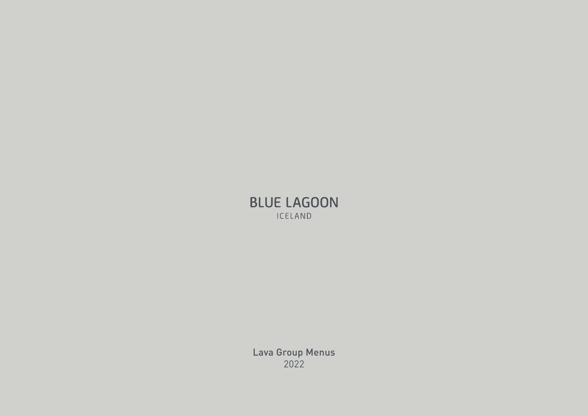## **BLUE LAGOON** ICELAND

Lava Group Menus 2022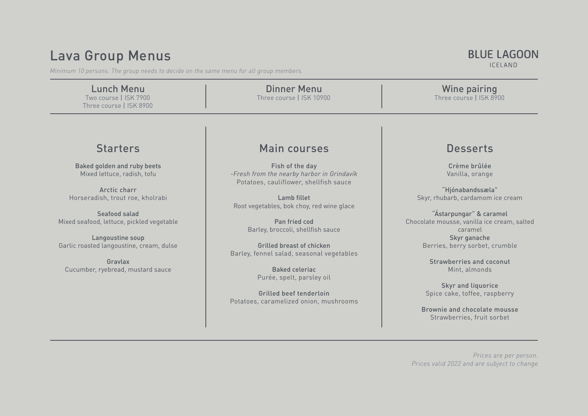# Lava Group Menus

*Minimum 10 persons. The group needs to decide on the same menu for all group members.*

| <b>Lunch Menu</b><br>Two course   ISK 7900<br>Three course   ISK 8900                                                                                                                                                                                                                               | <b>Dinner Menu</b><br>Three course   ISK 10900                                                                                                                                                                                                                                                                                                                                                                                        | Wine pairing<br>Three course   ISK 8900                                                                                                                                                                                                                                                                                                                                                                  |
|-----------------------------------------------------------------------------------------------------------------------------------------------------------------------------------------------------------------------------------------------------------------------------------------------------|---------------------------------------------------------------------------------------------------------------------------------------------------------------------------------------------------------------------------------------------------------------------------------------------------------------------------------------------------------------------------------------------------------------------------------------|----------------------------------------------------------------------------------------------------------------------------------------------------------------------------------------------------------------------------------------------------------------------------------------------------------------------------------------------------------------------------------------------------------|
|                                                                                                                                                                                                                                                                                                     |                                                                                                                                                                                                                                                                                                                                                                                                                                       |                                                                                                                                                                                                                                                                                                                                                                                                          |
| <b>Starters</b>                                                                                                                                                                                                                                                                                     | Main courses                                                                                                                                                                                                                                                                                                                                                                                                                          | <b>Desserts</b>                                                                                                                                                                                                                                                                                                                                                                                          |
| <b>Baked golden and ruby beets</b><br>Mixed lettuce, radish, tofu<br>Arctic charr<br>Horseradish, trout roe, kholrabi<br>Seafood salad<br>Mixed seafood, lettuce, pickled vegetable<br>Langoustine soup<br>Garlic roasted langoustine, cream, dulse<br>Gravlax<br>Cucumber, ryebread, mustard sauce | Fish of the day<br>-Fresh from the nearby harbor in Grindavík<br>Potatoes, cauliflower, shellfish sauce<br>Lamb fillet<br>Root vegetables, bok choy, red wine glace<br>Pan fried cod<br>Barley, broccoli, shellfish sauce<br><b>Grilled breast of chicken</b><br>Barley, fennel salad, seasonal vegetables<br><b>Baked celeriac</b><br>Purée, spelt, parsley oil<br>Grilled beef tenderloin<br>Potatoes, caramelized onion, mushrooms | Crème brûlée<br>Vanilla, orange<br>"Hjónabandssæla"<br>Skyr, rhubarb, cardamom ice cream<br>"Ástarpungar" & caramel<br>Chocolate mousse, vanilla ice cream, salted<br>caramel<br>Skyr ganache<br>Berries, berry sorbet, crumble<br>Strawberries and coconut<br>Mint, almonds<br><b>Skyr and liquorice</b><br>Spice cake, toffee, raspberry<br>Brownie and chocolate mousse<br>Strawberries, fruit sorbet |
|                                                                                                                                                                                                                                                                                                     |                                                                                                                                                                                                                                                                                                                                                                                                                                       | Prices are per person.<br>Prices valid 2022 and are subject to change                                                                                                                                                                                                                                                                                                                                    |

# **BLUE LAGOON**

ICELAND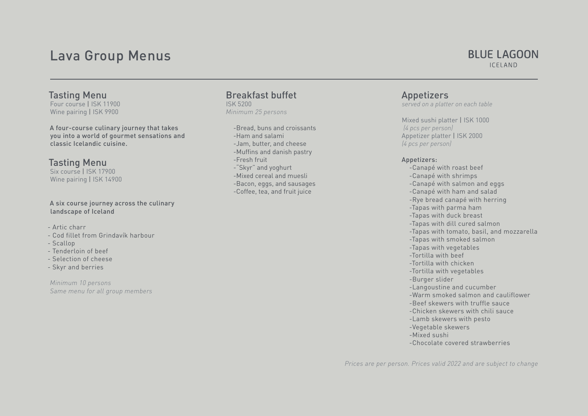## Lava Group Menus

## **BLUE LAGOON ICELAND**

Tasting Menu Four course | ISK 11900 Wine pairing | ISK 9900

A four-course culinary journey that takes you into a world of gourmet sensations and classic Icelandic cuisine.

## Tasting Menu

Six course | ISK 17900 Wine pairing | ISK 14900

#### A six course journey across the culinary landscape of Iceland

- Artic charr
- Cod fillet from Grindavík harbour
- Scallop
- Tenderloin of beef
- Selection of cheese
- Skyr and berries

*Minimum 10 persons Same menu for all group members*

### Breakfast buffet ISK 5200

*Minimum 25 persons*

-Bread, buns and croissants -Ham and salami -Jam, butter, and cheese -Muffins and danish pastry -Fresh fruit -"Skyr" and yoghurt -Mixed cereal and muesli -Bacon, eggs, and sausages -Coffee, tea, and fruit juice

Appetizers

*served on a platter on each table*

Mixed sushi platter | ISK 1000 *(4 pcs per person)* Appetizer platter | ISK 2000 *(4 pcs per person)*

#### Appetizers:

-Canapé with roast beef -Canapé with shrimps -Canapé with salmon and eggs -Canapé with ham and salad -Rye bread canapé with herring -Tapas with parma ham -Tapas with duck breast -Tapas with dill cured salmon -Tapas with tomato, basil, and mozzarella -Tapas with smoked salmon -Tapas with vegetables -Tortilla with beef -Tortilla with chicken -Tortilla with vegetables -Burger slider -Langoustine and cucumber -Warm smoked salmon and cauliflower -Beef skewers with truffle sauce -Chicken skewers with chili sauce -Lamb skewers with pesto -Vegetable skewers -Mixed sushi -Chocolate covered strawberries

*Prices are per person. Prices valid 2022 and are subject to change*